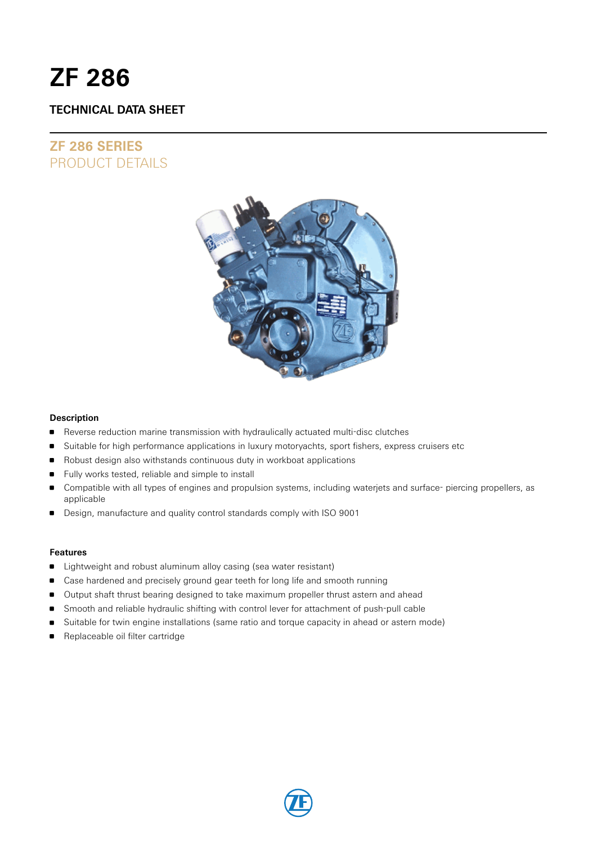# **ZF 286**

# **TECHNICAL DATA SHEET**

# **ZF 286 SERIES** PRODUCT DETAILS



#### **Description**

- **Reverse reduction marine transmission with hydraulically actuated multi-disc clutches**
- **Suitable for high performance applications in luxury motoryachts, sport fishers, express cruisers etc**
- Robust design also withstands continuous duty in workboat applications
- Fully works tested, reliable and simple to install
- Compatible with all types of engines and propulsion systems, including waterjets and surface- piercing propellers, as applicable
- Design, manufacture and quality control standards comply with ISO 9001

#### **Features**

- **EXTENDI** Lightweight and robust aluminum alloy casing (sea water resistant)
- **Case hardened and precisely ground gear teeth for long life and smooth running**
- Output shaft thrust bearing designed to take maximum propeller thrust astern and ahead
- **Smooth and reliable hydraulic shifting with control lever for attachment of push-pull cable**
- Suitable for twin engine installations (same ratio and torque capacity in ahead or astern mode)
- **Replaceable oil filter cartridge**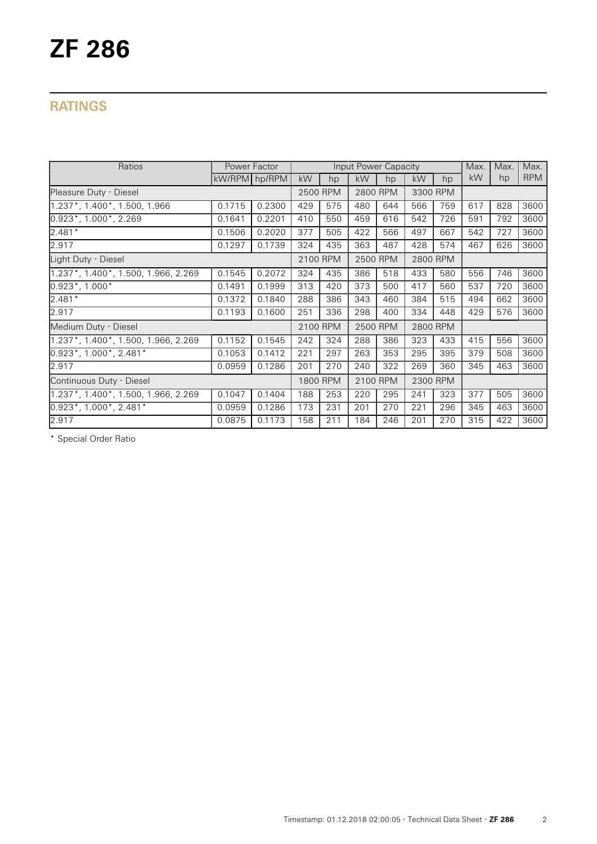# **RATINGS**

| Ratios                              | Power Factor  |        |          | Input Power Capacity |          |     |          | Max. | Max. | Max. |            |
|-------------------------------------|---------------|--------|----------|----------------------|----------|-----|----------|------|------|------|------------|
|                                     | kW/RPM hp/RPM |        | kW       | hp                   | kW       | hp  | kW       | hp   | kW   | hp   | <b>RPM</b> |
| Pleasure Duty - Diesel              |               |        | 2500 RPM |                      | 2800 RPM |     | 3300 RPM |      |      |      |            |
| 1.237*, 1.400*, 1.500, 1.966        | 0.1715        | 0.2300 | 429      | 575                  | 480      | 644 | 566      | 759  | 617  | 828  | 3600       |
| $0.923^*$ , 1.000 $^*$ , 2.269      | 0.1641        | 0.2201 | 410      | 550                  | 459      | 616 | 542      | 726  | 591  | 792  | 3600       |
| $2.481*$                            | 0.1506        | 0.2020 | 377      | 505                  | 422      | 566 | 497      | 667  | 542  | 727  | 3600       |
| 2.917                               | 0.1297        | 0.1739 | 324      | 435                  | 363      | 487 | 428      | 574  | 467  | 626  | 3600       |
| Light Duty - Diesel                 |               |        | 2100 RPM |                      | 2500 RPM |     | 2800 RPM |      |      |      |            |
| 1.237*, 1.400*, 1.500, 1.966, 2.269 | 0.1545        | 0.2072 | 324      | 435                  | 386      | 518 | 433      | 580  | 556  | 746  | 3600       |
| $0.923$ *, 1.000*                   | 0.1491        | 0.1999 | 313      | 420                  | 373      | 500 | 417      | 560  | 537  | 720  | 3600       |
| $2.481*$                            | 0.1372        | 0.1840 | 288      | 386                  | 343      | 460 | 384      | 515  | 494  | 662  | 3600       |
| 2.917                               | 0.1193        | 0.1600 | 251      | 336                  | 298      | 400 | 334      | 448  | 429  | 576  | 3600       |
| Medium Duty - Diesel                |               |        | 2100 RPM |                      | 2500 RPM |     | 2800 RPM |      |      |      |            |
| 1.237*, 1.400*, 1.500, 1.966, 2.269 | 0.1152        | 0.1545 | 242      | 324                  | 288      | 386 | 323      | 433  | 415  | 556  | 3600       |
| $0.923^*$ , 1.000 $^*$ , 2.481 $^*$ | 0.1053        | 0.1412 | 221      | 297                  | 263      | 353 | 295      | 395  | 379  | 508  | 3600       |
| 2.917                               | 0.0959        | 0.1286 | 201      | 270                  | 240      | 322 | 269      | 360  | 345  | 463  | 3600       |
| Continuous Duty - Diesel            |               |        | 1800 RPM |                      | 2100 RPM |     | 2300 RPM |      |      |      |            |
| 1.237*, 1.400*, 1.500, 1.966, 2.269 | 0.1047        | 0.1404 | 188      | 253                  | 220      | 295 | 241      | 323  | 377  | 505  | 3600       |
| $0.923$ *, 1.000*, 2.481*           | 0.0959        | 0.1286 | 173      | 231                  | 201      | 270 | 221      | 296  | 345  | 463  | 3600       |
| 2.917                               | 0.0875        | 0.1173 | 158      | 211                  | 184      | 246 | 201      | 270  | 315  | 422  | 3600       |

\* Special Order Ratio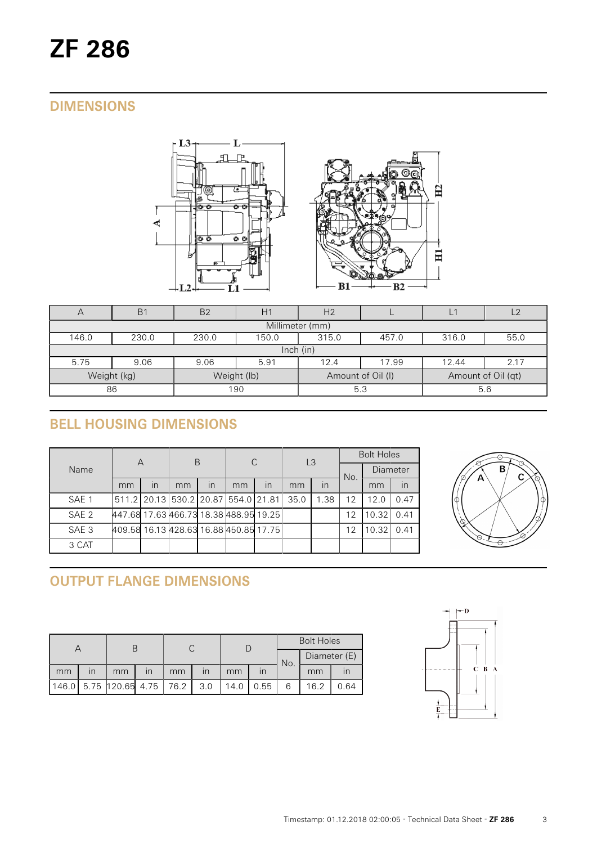# **DIMENSIONS**



| A               | B <sub>1</sub>                                             | B <sub>2</sub> | H1          | H <sub>2</sub>    |     |                    | $\sqrt{2}$ |  |  |  |
|-----------------|------------------------------------------------------------|----------------|-------------|-------------------|-----|--------------------|------------|--|--|--|
| Millimeter (mm) |                                                            |                |             |                   |     |                    |            |  |  |  |
| 146.0           | 315.0<br>55.0<br>230.0<br>230.0<br>150.0<br>316.0<br>457.0 |                |             |                   |     |                    |            |  |  |  |
| lnch (in)       |                                                            |                |             |                   |     |                    |            |  |  |  |
| 5.75            | 9.06                                                       | 9.06           | 2.17        |                   |     |                    |            |  |  |  |
|                 | Weight (kg)                                                |                | Weight (lb) | Amount of Oil (I) |     | Amount of Oil (qt) |            |  |  |  |
| 190<br>86       |                                                            |                | 5.3         |                   | 5.6 |                    |            |  |  |  |

# **BELL HOUSING DIMENSIONS**

|                  | A                                      |    | B                                             |    | C  |    | L <sub>3</sub> |      | <b>Bolt Holes</b> |                 |      |
|------------------|----------------------------------------|----|-----------------------------------------------|----|----|----|----------------|------|-------------------|-----------------|------|
| Name             |                                        |    |                                               |    |    |    |                |      | No.               | <b>Diameter</b> |      |
|                  | mm                                     | in | mm                                            | in | mm | in | mm             | in   |                   | mm              | in   |
| SAE <sub>1</sub> |                                        |    | 511.2   20.13   530.2   20.87   554.0   21.81 |    |    |    | 35.0           | 1.38 | 12                | 12.0            | 0.47 |
| SAE <sub>2</sub> | 447.68 17.63 466.73 18.38 488.95 19.25 |    |                                               |    |    |    |                |      | 12                | 10.32           | 0.41 |
| SAE <sub>3</sub> | 409.58 16.13 428.63 16.88 450.85 17.75 |    |                                               |    |    |    |                |      | 12                | 10.32           | 0.41 |
| 3 CAT            |                                        |    |                                               |    |    |    |                |      |                   |                 |      |



# **OUTPUT FLANGE DIMENSIONS**

|       |                         |                           |                         |    |                         |      |                         | <b>Bolt Holes</b> |      |              |  |
|-------|-------------------------|---------------------------|-------------------------|----|-------------------------|------|-------------------------|-------------------|------|--------------|--|
|       |                         |                           |                         |    |                         |      |                         | No.               |      | Diameter (E) |  |
| mm    | $\overline{\mathsf{I}}$ | mm                        | $\overline{\mathsf{I}}$ | mm | $\overline{\mathsf{I}}$ | mm   | $\overline{\mathsf{I}}$ |                   | mm   |              |  |
| 146.0 |                         | $5.75$ 120.65 4.75   76.2 |                         |    | 3.0                     | 14.0 | 0.55                    |                   | 16.2 | 0.64         |  |